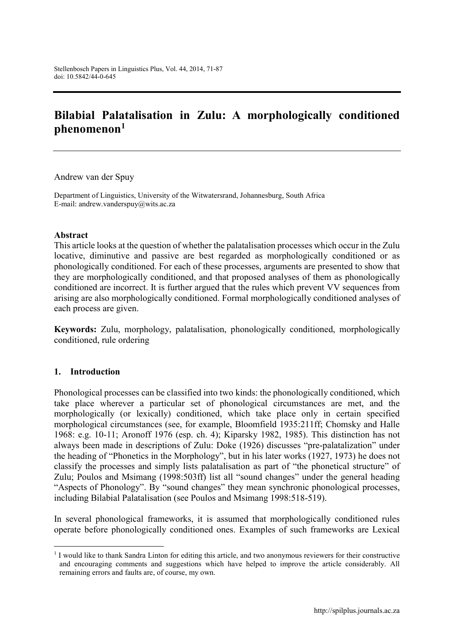# **Bilabial Palatalisation in Zulu: A morphologically conditioned phenomenon<sup>1</sup>**

Andrew van der Spuy

Department of Linguistics, University of the Witwatersrand, Johannesburg, South Africa E-mail: [andrew.vanderspuy@wits.ac.za](mailto:andrew.vanderspuy@wits.ac.za)

#### **Abstract**

This article looks at the question of whether the palatalisation processes which occur in the Zulu locative, diminutive and passive are best regarded as morphologically conditioned or as phonologically conditioned. For each of these processes, arguments are presented to show that they are morphologically conditioned, and that proposed analyses of them as phonologically conditioned are incorrect. It is further argued that the rules which prevent VV sequences from arising are also morphologically conditioned. Formal morphologically conditioned analyses of each process are given.

**Keywords:** Zulu, morphology, palatalisation, phonologically conditioned, morphologically conditioned, rule ordering

#### **1. Introduction**

Phonological processes can be classified into two kinds: the phonologically conditioned, which take place wherever a particular set of phonological circumstances are met, and the morphologically (or lexically) conditioned, which take place only in certain specified morphological circumstances (see, for example, Bloomfield 1935:211ff; Chomsky and Halle 1968: e.g. 10-11; Aronoff 1976 (esp. ch. 4); Kiparsky 1982, 1985). This distinction has not always been made in descriptions of Zulu: Doke (1926) discusses "pre-palatalization" under the heading of "Phonetics in the Morphology", but in his later works (1927, 1973) he does not classify the processes and simply lists palatalisation as part of "the phonetical structure" of Zulu; Poulos and Msimang (1998:503ff) list all "sound changes" under the general heading "Aspects of Phonology". By "sound changes" they mean synchronic phonological processes, including Bilabial Palatalisation (see Poulos and Msimang 1998:518-519).

In several phonological frameworks, it is assumed that morphologically conditioned rules operate before phonologically conditioned ones. Examples of such frameworks are Lexical

 <sup>1</sup> I would like to thank Sandra Linton for editing this article, and two anonymous reviewers for their constructive and encouraging comments and suggestions which have helped to improve the article considerably. All remaining errors and faults are, of course, my own.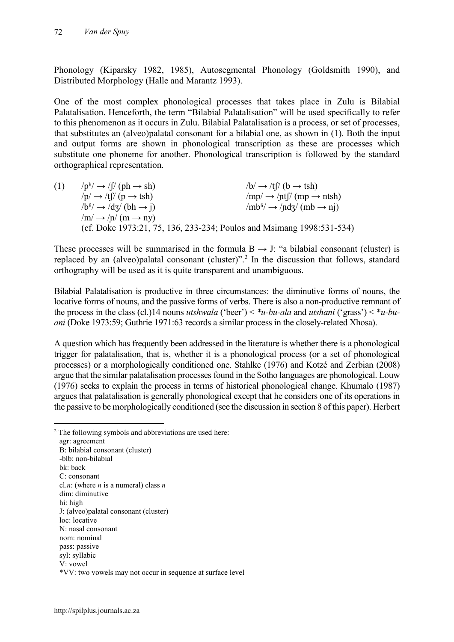Phonology (Kiparsky 1982, 1985), Autosegmental Phonology (Goldsmith 1990), and Distributed Morphology (Halle and Marantz 1993).

One of the most complex phonological processes that takes place in Zulu is Bilabial Palatalisation. Henceforth, the term "Bilabial Palatalisation" will be used specifically to refer to this phenomenon as it occurs in Zulu. Bilabial Palatalisation is a process, or set of processes, that substitutes an (alveo)palatal consonant for a bilabial one, as shown in (1). Both the input and output forms are shown in phonological transcription as these are processes which substitute one phoneme for another. Phonological transcription is followed by the standard orthographical representation.

(1)  $/p^h \rightarrow /f' \text{ (ph} \rightarrow \text{sh})$   $/b \rightarrow /tf' \text{ (b} \rightarrow \text{tsh})$ <br>  $/p \rightarrow /tf' \text{ (p} \rightarrow \text{tsh})$   $/mp \rightarrow /ntf' \text{ (mp} \rightarrow \text{sh})$  $\text{/mp/}\rightarrow \text{/nt}$  $\text{/}(mp \rightarrow n \text{tsh})$  $/b<sup>fi</sup> \rightarrow /d\overline{z}/(bh \rightarrow i)$  /mb<sup>*a*</sup>/  $\rightarrow /nd\overline{z}/(mb \rightarrow ni)$  $/m/ \rightarrow /n/ (m \rightarrow ny)$ (cf. Doke 1973:21, 75, 136, 233-234; Poulos and Msimang 1998:531-534)

These processes will be summarised in the formula  $B \rightarrow J$ : "a bilabial consonant (cluster) is replaced by an (alveo)palatal consonant (cluster)".<sup>2</sup> In the discussion that follows, standard orthography will be used as it is quite transparent and unambiguous.

Bilabial Palatalisation is productive in three circumstances: the diminutive forms of nouns, the locative forms of nouns, and the passive forms of verbs. There is also a non-productive remnant of the process in the class (cl.)14 nouns *utshwala* ('beer') < *\*u-bu-ala* and *utshani* ('grass') < \**u-buani* (Doke 1973:59; Guthrie 1971:63 records a similar process in the closely-related Xhosa).

A question which has frequently been addressed in the literature is whether there is a phonological trigger for palatalisation, that is, whether it is a phonological process (or a set of phonological processes) or a morphologically conditioned one. Stahlke (1976) and Kotzé and Zerbian (2008) argue that the similar palatalisation processes found in the Sotho languages are phonological. Louw (1976) seeks to explain the process in terms of historical phonological change. Khumalo (1987) argues that palatalisation is generally phonological except that he considers one of its operations in the passive to be morphologically conditioned (see the discussion in section 8 of this paper). Herbert

<sup>&</sup>lt;sup>2</sup> The following symbols and abbreviations are used here: agr: agreement B: bilabial consonant (cluster) -blb: non-bilabial bk: back C: consonant cl.*n*: (where *n* is a numeral) class *n* dim: diminutive hi: high J: (alveo)palatal consonant (cluster) loc: locative N: nasal consonant nom: nominal pass: passive syl: syllabic V: vowel \*VV: two vowels may not occur in sequence at surface level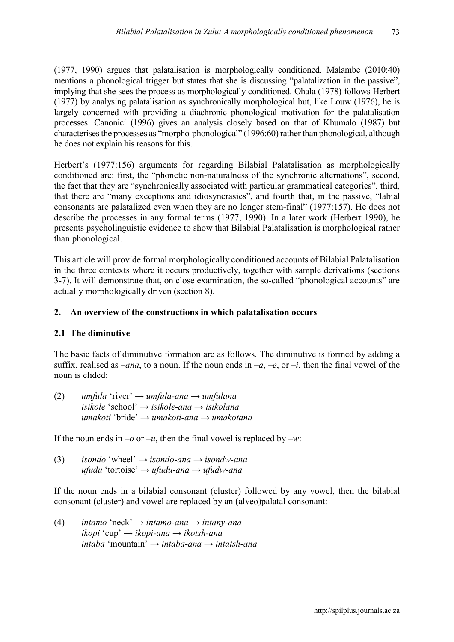(1977, 1990) argues that palatalisation is morphologically conditioned. Malambe (2010:40) mentions a phonological trigger but states that she is discussing "palatalization in the passive", implying that she sees the process as morphologically conditioned. Ohala (1978) follows Herbert (1977) by analysing palatalisation as synchronically morphological but, like Louw (1976), he is largely concerned with providing a diachronic phonological motivation for the palatalisation processes. Canonici (1996) gives an analysis closely based on that of Khumalo (1987) but characterises the processes as "morpho-phonological" (1996:60) rather than phonological, although he does not explain his reasons for this.

Herbert's (1977:156) arguments for regarding Bilabial Palatalisation as morphologically conditioned are: first, the "phonetic non-naturalness of the synchronic alternations", second, the fact that they are "synchronically associated with particular grammatical categories", third, that there are "many exceptions and idiosyncrasies", and fourth that, in the passive, "labial consonants are palatalized even when they are no longer stem-final" (1977:157). He does not describe the processes in any formal terms (1977, 1990). In a later work (Herbert 1990), he presents psycholinguistic evidence to show that Bilabial Palatalisation is morphological rather than phonological.

This article will provide formal morphologically conditioned accounts of Bilabial Palatalisation in the three contexts where it occurs productively, together with sample derivations (sections 3-7). It will demonstrate that, on close examination, the so-called "phonological accounts" are actually morphologically driven (section 8).

## **2. An overview of the constructions in which palatalisation occurs**

## **2.1 The diminutive**

The basic facts of diminutive formation are as follows. The diminutive is formed by adding a suffix, realised as  $-ana$ , to a noun. If the noun ends in  $-a$ ,  $-e$ , or  $-i$ , then the final vowel of the noun is elided:

(2) *umfula* 'river' *→ umfula-ana → umfulana isikole* 'school' *→ isikole-ana → isikolana umakoti* 'bride' *→ umakoti-ana → umakotana*

If the noun ends in  $-o$  or  $-u$ , then the final vowel is replaced by  $-w$ .

(3) *isondo* 'wheel' *→ isondo-ana → isondw-ana ufudu* 'tortoise' *→ ufudu-ana → ufudw-ana*

If the noun ends in a bilabial consonant (cluster) followed by any vowel, then the bilabial consonant (cluster) and vowel are replaced by an (alveo)palatal consonant:

(4) *intamo* 'neck' *→ intamo-ana → intany-ana ikopi* 'cup' *→ ikopi-ana → ikotsh-ana intaba* 'mountain' *→ intaba-ana → intatsh-ana*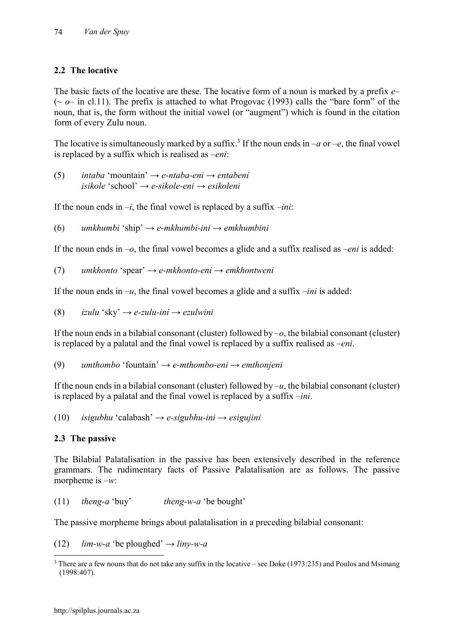# **2.2 The locative**

The basic facts of the locative are these. The locative form of a noun is marked by a prefix *e*– ( $\sim \rho$ – in cl.11). The prefix is attached to what Progovac (1993) calls the "bare form" of the noun, that is, the form without the initial vowel (or "augment") which is found in the citation form of every Zulu noun.

The locative is simultaneously marked by a suffix.<sup>3</sup> If the noun ends in –*a* or –*e*, the final vowel is replaced by a suffix which is realised as –*eni*:

(5) *intaba* 'mountain' *→ e-ntaba-eni → entabeni isikole* 'school' *→ e-sikole-eni → esikoleni*

If the noun ends in  $-i$ , the final vowel is replaced by a suffix  $-ini$ .

(6) *umkhumbi* 'ship' *→ e-mkhumbi-ini → emkhumbini*

If the noun ends in –*o*, the final vowel becomes a glide and a suffix realised as –*eni* is added:

(7) *umkhonto* 'spear' *→ e-mkhonto-eni → emkhontweni*

If the noun ends in  $-u$ , the final vowel becomes a glide and a suffix  $-ini$  is added:

(8) *izulu* 'sky' *→ e-zulu-ini → ezulwini*

If the noun ends in a bilabial consonant (cluster) followed by –*o*, the bilabial consonant (cluster) is replaced by a palatal and the final vowel is replaced by a suffix realised as –*eni*.

(9) *umthombo* 'fountain' *→ e-mthombo-eni → emthonjeni*

If the noun ends in a bilabial consonant (cluster) followed by  $-u$ , the bilabial consonant (cluster) is replaced by a palatal and the final vowel is replaced by a suffix –*ini*.

(10) *isigubhu* 'calabash' *→ e-sigubhu-ini → esigujini*

# **2.3 The passive**

The Bilabial Palatalisation in the passive has been extensively described in the reference grammars. The rudimentary facts of Passive Palatalisation are as follows. The passive morpheme is –*w*:

(11) *theng-a* 'buy' *theng-w-a* 'be bought'

The passive morpheme brings about palatalisation in a preceding bilabial consonant:

 $(12)$  *lim-w-a* 'be ploughed'  $\rightarrow$  *liny-w-a* 

<sup>&</sup>lt;sup>3</sup> There are a few nouns that do not take any suffix in the locative – see Doke (1973:235) and Poulos and Msimang (1998:407).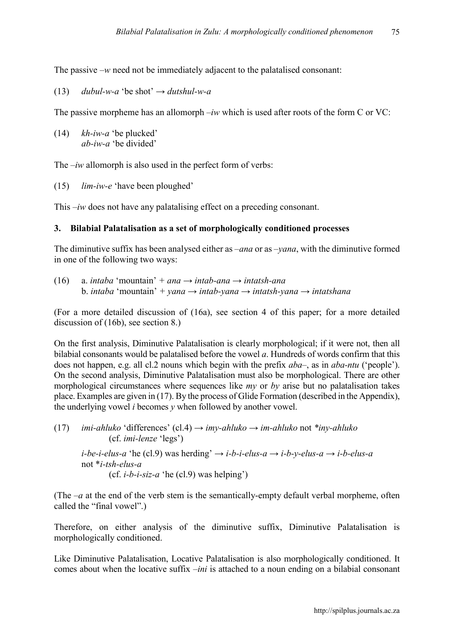The passive –*w* need not be immediately adjacent to the palatalised consonant:

(13) *dubul-w-a* 'be shot'  $\rightarrow$  *dutshul-w-a* 

The passive morpheme has an allomorph –*iw* which is used after roots of the form C or VC:

(14) *kh-iw-a* 'be plucked' *ab-iw-a* 'be divided'

The  $-iw$  allomorph is also used in the perfect form of verbs:

(15) *lim-iw-e* 'have been ploughed'

This  $-iw$  does not have any palatalising effect on a preceding consonant.

#### **3. Bilabial Palatalisation as a set of morphologically conditioned processes**

The diminutive suffix has been analysed either as –*ana* or as –*yana*, with the diminutive formed in one of the following two ways:

(16) a. *intaba* 'mountain' *+ ana → intab-ana → intatsh-ana* b. *intaba* 'mountain' *+ yana → intab-yana → intatsh-yana → intatshana*

(For a more detailed discussion of (16a), see section 4 of this paper; for a more detailed discussion of (16b), see section 8.)

On the first analysis, Diminutive Palatalisation is clearly morphological; if it were not, then all bilabial consonants would be palatalised before the vowel *a*. Hundreds of words confirm that this does not happen, e.g. all cl.2 nouns which begin with the prefix *aba*–, as in *aba-ntu* ('people'). On the second analysis, Diminutive Palatalisation must also be morphological. There are other morphological circumstances where sequences like *my* or *by* arise but no palatalisation takes place. Examples are given in (17). By the process of Glide Formation (described in the Appendix), the underlying vowel *i* becomes *y* when followed by another vowel.

(17) *imi-ahluko* 'differences' (cl.4) *→ imy-ahluko → im-ahluko* not *\*iny-ahluko* (cf. *imi-lenze* 'legs')

*i-be-i-elus-a* 'he (cl.9) was herding'  $\rightarrow$  *i-b-i-elus-a*  $\rightarrow$  *i-b-y-elus-a*  $\rightarrow$  *i-b-elus-a* not \**i-tsh-elus-a* (cf. *i-b-i-siz-a* 'he (cl.9) was helping')

(The  $-a$  at the end of the verb stem is the semantically-empty default verbal morpheme, often called the "final vowel".)

Therefore, on either analysis of the diminutive suffix, Diminutive Palatalisation is morphologically conditioned.

Like Diminutive Palatalisation, Locative Palatalisation is also morphologically conditioned. It comes about when the locative suffix –*ini* is attached to a noun ending on a bilabial consonant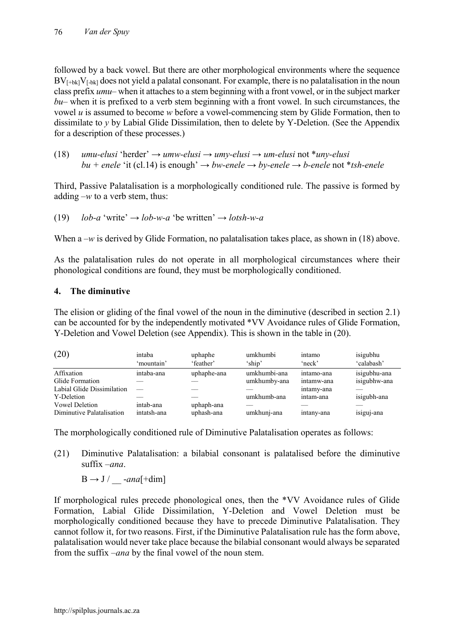followed by a back vowel. But there are other morphological environments where the sequence  $BV_{F+bk}V_{F-bk}$  does not vield a palatal consonant. For example, there is no palatalisation in the noun class prefix *umu*– when it attaches to a stem beginning with a front vowel, or in the subject marker *bu*– when it is prefixed to a verb stem beginning with a front vowel. In such circumstances, the vowel *u* is assumed to become *w* before a vowel-commencing stem by Glide Formation, then to dissimilate to *y* by Labial Glide Dissimilation, then to delete by Y-Deletion. (See the Appendix for a description of these processes.)

(18) *umu-elusi* 'herder' *→ umw-elusi → umy-elusi → um-elusi* not \**uny-elusi bu* + enele 'it (cl.14) is enough'  $→$  *bw-enele*  $→$  *by-enele*  $→$  *b-enele* not \**tsh-enele* 

Third, Passive Palatalisation is a morphologically conditioned rule. The passive is formed by adding  $-w$  to a verb stem, thus:

(19) *lob-a* 'write' 
$$
\rightarrow
$$
 *lob-w-a* 'be written'  $\rightarrow$  *losth-w-a*

When a –*w* is derived by Glide Formation, no palatalisation takes place, as shown in (18) above.

As the palatalisation rules do not operate in all morphological circumstances where their phonological conditions are found, they must be morphologically conditioned.

#### **4. The diminutive**

The elision or gliding of the final vowel of the noun in the diminutive (described in section 2.1) can be accounted for by the independently motivated \*VV Avoidance rules of Glide Formation, Y-Deletion and Vowel Deletion (see Appendix). This is shown in the table in (20).

| (20)                       | intaba<br>'mountain' | uphaphe<br>'feather' | umkhumbi<br>'ship' | intamo<br>'neck' | isigubhu<br>'calabash' |
|----------------------------|----------------------|----------------------|--------------------|------------------|------------------------|
| Affixation                 | intaba-ana           | uphaphe-ana          | umkhumbi-ana       | intamo-ana       | isigubhu-ana           |
| Glide Formation            |                      |                      | umkhumby-ana       | intamw-ana       | isigubhw-ana           |
| Labial Glide Dissimilation |                      |                      |                    | intamy-ana       |                        |
| Y-Deletion                 |                      |                      | umkhumb-ana        | intam-ana        | isigubh-ana            |
| <b>Vowel Deletion</b>      | intab-ana            | uphaph-ana           |                    |                  |                        |
| Diminutive Palatalisation  | intatsh-ana          | uphash-ana           | umkhunj-ana        | intany-ana       | isiguj-ana             |

The morphologically conditioned rule of Diminutive Palatalisation operates as follows:

(21) Diminutive Palatalisation: a bilabial consonant is palatalised before the diminutive suffix –*ana*.

 $B \rightarrow J / \quad -an\bar{a}$ [+dim]

If morphological rules precede phonological ones, then the \*VV Avoidance rules of Glide Formation, Labial Glide Dissimilation, Y-Deletion and Vowel Deletion must be morphologically conditioned because they have to precede Diminutive Palatalisation. They cannot follow it, for two reasons. First, if the Diminutive Palatalisation rule has the form above, palatalisation would never take place because the bilabial consonant would always be separated from the suffix –*ana* by the final vowel of the noun stem.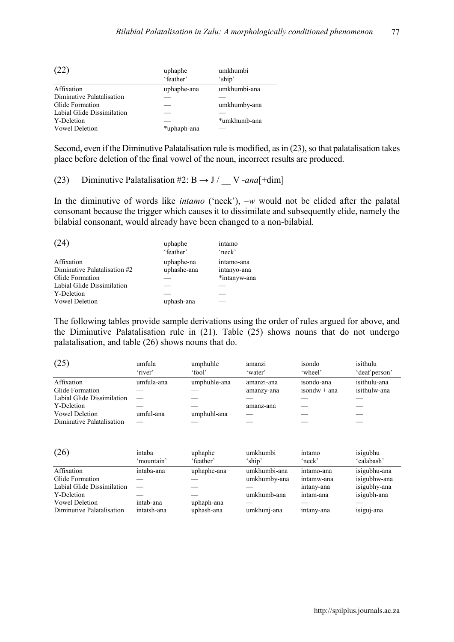| (22)                       | uphaphe     | umkhumbi     |  |
|----------------------------|-------------|--------------|--|
|                            | 'feather'   | 'ship'       |  |
| Affixation                 | uphaphe-ana | umkhumbi-ana |  |
| Diminutive Palatalisation  |             |              |  |
| Glide Formation            |             | umkhumby-ana |  |
| Labial Glide Dissimilation |             |              |  |
| Y-Deletion                 |             | *umkhumb-ana |  |
| <b>Vowel Deletion</b>      | *uphaph-ana |              |  |

Second, even if the Diminutive Palatalisation rule is modified, as in (23), so that palatalisation takes place before deletion of the final vowel of the noun, incorrect results are produced.

(23) Diminutive Palatalisation #2:  $B \rightarrow J /$  V -*ana*[+dim]

In the diminutive of words like *intamo* ('neck'), –*w* would not be elided after the palatal consonant because the trigger which causes it to dissimilate and subsequently elide, namely the bilabial consonant, would already have been changed to a non-bilabial.

| (24)                         | uphaphe<br>'feather' | intamo<br>'neck' |
|------------------------------|----------------------|------------------|
| Affixation                   | uphaphe-na           | intamo-ana       |
| Diminutive Palatalisation #2 | uphashe-ana          | intanyo-ana      |
| Glide Formation              |                      | *intanyw-ana     |
| Labial Glide Dissimilation   |                      |                  |
| Y-Deletion                   |                      |                  |
| <b>Vowel Deletion</b>        | uphash-ana           |                  |

The following tables provide sample derivations using the order of rules argued for above, and the Diminutive Palatalisation rule in (21). Table (25) shows nouns that do not undergo palatalisation, and table (26) shows nouns that do.

| (25)                       | umfula<br>'river' | umphuhle<br>'fool' | amanzı<br>'water' | isondo<br>'wheel' | isithulu<br>deaf person |
|----------------------------|-------------------|--------------------|-------------------|-------------------|-------------------------|
| Affixation                 | umfula-ana        | umphuhle-ana       | amanzi-ana        | isondo-ana        | isithulu-ana            |
| Glide Formation            |                   |                    | amanzy-ana        | $isondw + ana$    | isithulw-ana            |
| Labial Glide Dissimilation |                   |                    |                   |                   |                         |
| Y-Deletion                 |                   |                    | amanz-ana         |                   |                         |
| <b>Vowel Deletion</b>      | umful-ana         | umphuhl-ana        |                   |                   |                         |
| Diminutive Palatalisation  |                   |                    |                   |                   |                         |

| (26)                       | intaba<br>'mountain' | uphaphe<br>'feather' | umkhumbi<br>'ship' | intamo<br>'neck' | isigubhu<br>'calabash' |
|----------------------------|----------------------|----------------------|--------------------|------------------|------------------------|
| Affixation                 | intaba-ana           | uphaphe-ana          | umkhumbi-ana       | intamo-ana       | isigubhu-ana           |
| Glide Formation            |                      |                      | umkhumby-ana       | intamw-ana       | isigubhw-ana           |
| Labial Glide Dissimilation |                      |                      |                    | intany-ana       | isigubhy-ana           |
| Y-Deletion                 |                      |                      | umkhumb-ana        | intam-ana        | isigubh-ana            |
| <b>Vowel Deletion</b>      | intab-ana            | uphaph-ana           |                    |                  |                        |
| Diminutive Palatalisation  | intatsh-ana          | uphash-ana           | umkhunj-ana        | intany-ana       | isiguj-ana             |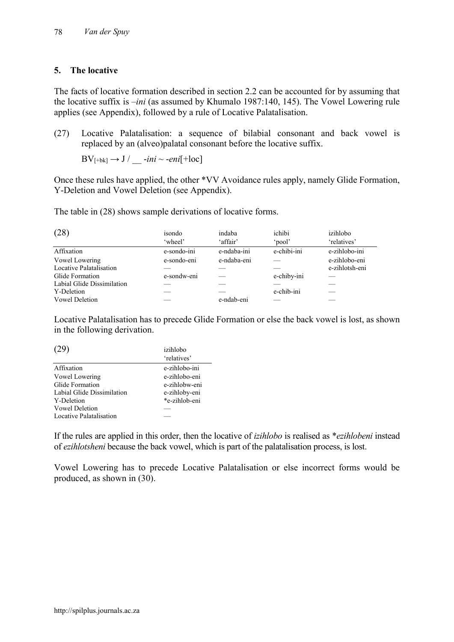## **5. The locative**

The facts of locative formation described in section 2.2 can be accounted for by assuming that the locative suffix is –*ini* (as assumed by Khumalo 1987:140, 145). The Vowel Lowering rule applies (see Appendix), followed by a rule of Locative Palatalisation.

(27) Locative Palatalisation: a sequence of bilabial consonant and back vowel is replaced by an (alveo)palatal consonant before the locative suffix.

 $BV_{[+bk]} \rightarrow J / \underline{\hspace{2cm}}$ -*ini* ~ -*eni*[+loc]

Once these rules have applied, the other \*VV Avoidance rules apply, namely Glide Formation, Y-Deletion and Vowel Deletion (see Appendix).

The table in (28) shows sample derivations of locative forms.

| (28)                       | isondo      | indaba      | ichibi      | izihlobo       |
|----------------------------|-------------|-------------|-------------|----------------|
|                            | 'wheel'     | 'affair'    | 'pool'      | 'relatives'    |
| Affixation                 | e-sondo-ini | e-ndaba-ini | e-chibi-ini | e-zihlobo-ini  |
| Vowel Lowering             | e-sondo-eni | e-ndaba-eni |             | e-zihlobo-eni  |
| Locative Palatalisation    |             |             |             | e-zihlotsh-eni |
| Glide Formation            | e-sondw-eni |             | e-chiby-ini |                |
| Labial Glide Dissimilation |             |             |             |                |
| Y-Deletion                 |             |             | e-chib-ini  |                |
| <b>Vowel Deletion</b>      |             | e-ndab-eni  |             |                |

Locative Palatalisation has to precede Glide Formation or else the back vowel is lost, as shown in the following derivation.

| (29)                       | izihlobo      |
|----------------------------|---------------|
|                            | 'relatives'   |
| Affixation                 | e-zihlobo-ini |
| Vowel Lowering             | e-zihlobo-eni |
| Glide Formation            | e-zihlobw-eni |
| Labial Glide Dissimilation | e-zihloby-eni |
| Y-Deletion                 | *e-zihlob-eni |
| <b>Vowel Deletion</b>      |               |
| Locative Palatalisation    |               |

If the rules are applied in this order, then the locative of *izihlobo* is realised as \**ezihlobeni* instead of *ezihlotsheni* because the back vowel, which is part of the palatalisation process, is lost.

Vowel Lowering has to precede Locative Palatalisation or else incorrect forms would be produced, as shown in (30).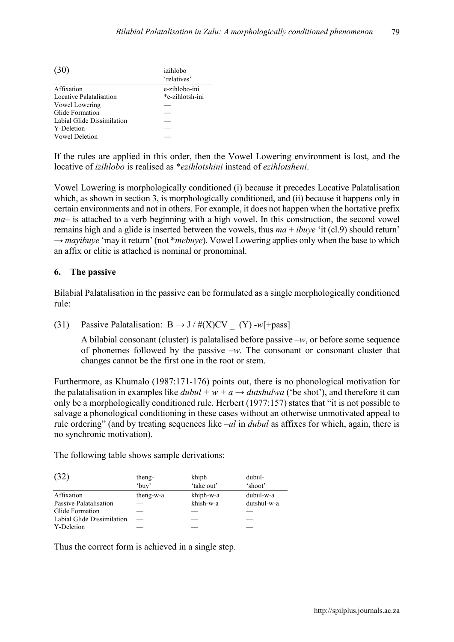| (30)                       | izihlobo        |  |  |
|----------------------------|-----------------|--|--|
|                            | 'relatives'     |  |  |
| Affixation                 | e-zihlobo-ini   |  |  |
| Locative Palatalisation    | *e-zihlotsh-ini |  |  |
| Vowel Lowering             |                 |  |  |
| Glide Formation            |                 |  |  |
| Labial Glide Dissimilation |                 |  |  |
| Y-Deletion                 |                 |  |  |
| <b>Vowel Deletion</b>      |                 |  |  |

If the rules are applied in this order, then the Vowel Lowering environment is lost, and the locative of *izihlobo* is realised as \**ezihlotshini* instead of *ezihlotsheni*.

Vowel Lowering is morphologically conditioned (i) because it precedes Locative Palatalisation which, as shown in section 3, is morphologically conditioned, and (ii) because it happens only in certain environments and not in others. For example, it does not happen when the hortative prefix *ma*– is attached to a verb beginning with a high vowel. In this construction, the second vowel remains high and a glide is inserted between the vowels, thus *ma* + *ibuye* 'it (cl.9) should return'  $\rightarrow$  *mayibuye* 'may it return' (not \**mebuye*). Vowel Lowering applies only when the base to which an affix or clitic is attached is nominal or pronominal.

## **6. The passive**

Bilabial Palatalisation in the passive can be formulated as a single morphologically conditioned rule:

(31) Passive Palatalisation:  $B \rightarrow J / \#(X)CV$  (Y) -*w*[+pass]

A bilabial consonant (cluster) is palatalised before passive –*w*, or before some sequence of phonemes followed by the passive –*w*. The consonant or consonant cluster that changes cannot be the first one in the root or stem.

Furthermore, as Khumalo (1987:171-176) points out, there is no phonological motivation for the palatalisation in examples like  $dubul + w + a \rightarrow dutshulwa$  ('be shot'), and therefore it can only be a morphologically conditioned rule. Herbert (1977:157) states that "it is not possible to salvage a phonological conditioning in these cases without an otherwise unmotivated appeal to rule ordering" (and by treating sequences like –*ul* in *dubul* as affixes for which, again, there is no synchronic motivation).

The following table shows sample derivations:

| (32)                       | theng-<br>'buy' | khiph<br>'take out' | dubul-<br>'shoot' |
|----------------------------|-----------------|---------------------|-------------------|
| Affixation                 | theng-w-a       | khiph-w-a           | dubul-w-a         |
| Passive Palatalisation     |                 | khish-w-a           | dutshul-w-a       |
| Glide Formation            |                 |                     |                   |
| Labial Glide Dissimilation |                 |                     |                   |
| Y-Deletion                 |                 |                     |                   |

Thus the correct form is achieved in a single step.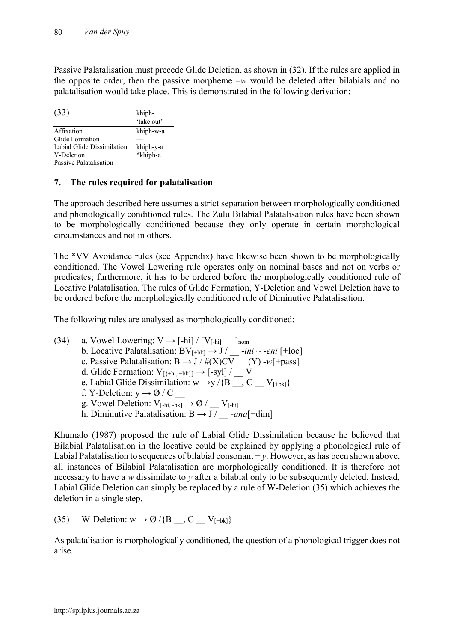Passive Palatalisation must precede Glide Deletion, as shown in (32). If the rules are applied in the opposite order, then the passive morpheme –*w* would be deleted after bilabials and no palatalisation would take place. This is demonstrated in the following derivation:

| (33)                       | khiph-     |
|----------------------------|------------|
|                            | 'take out' |
| Affixation                 | khiph-w-a  |
| Glide Formation            |            |
| Labial Glide Dissimilation | khiph-y-a  |
| Y-Deletion                 | *khiph-a   |
| Passive Palatalisation     |            |

## **7. The rules required for palatalisation**

The approach described here assumes a strict separation between morphologically conditioned and phonologically conditioned rules. The Zulu Bilabial Palatalisation rules have been shown to be morphologically conditioned because they only operate in certain morphological circumstances and not in others.

The \*VV Avoidance rules (see Appendix) have likewise been shown to be morphologically conditioned. The Vowel Lowering rule operates only on nominal bases and not on verbs or predicates; furthermore, it has to be ordered before the morphologically conditioned rule of Locative Palatalisation. The rules of Glide Formation, Y-Deletion and Vowel Deletion have to be ordered before the morphologically conditioned rule of Diminutive Palatalisation.

The following rules are analysed as morphologically conditioned:

(34) a. Vowel Lowering:  $V \rightarrow [-\text{hi}] / [V_{[-\text{hi}]}]$   $\Box$  ]nom b. Locative Palatalisation:  $BV_{[+bk]} \rightarrow J / \_$ -*ini* ~ -*eni* [+loc] c. Passive Palatalisation:  $B \to J / \#(X)CV$  (Y)  $-w[+pass]$ d. Glide Formation:  $V_{[\{\text{+hi}, \text{+bk}\}]} \rightarrow [-syl] / \_ V$ e. Labial Glide Dissimilation: w  $\rightarrow$ y /{B  $\rightarrow$  C  $=$  V<sub>[+bk]</sub>} f. Y-Deletion: y → Ø / C \_\_ g. Vowel Deletion:  $V_{[-hi, -bk]} \rightarrow \emptyset / V_{[-hi]}$ h. Diminutive Palatalisation:  $B \rightarrow J /$  -*ana*[+dim]

Khumalo (1987) proposed the rule of Labial Glide Dissimilation because he believed that Bilabial Palatalisation in the locative could be explained by applying a phonological rule of Labial Palatalisation to sequences of bilabial consonant  $+v$ . However, as has been shown above, all instances of Bilabial Palatalisation are morphologically conditioned. It is therefore not necessary to have a *w* dissimilate to *y* after a bilabial only to be subsequently deleted. Instead, Labial Glide Deletion can simply be replaced by a rule of W-Deletion (35) which achieves the deletion in a single step.

(35) W-Deletion:  $w \rightarrow \emptyset$  /{B \dots \, C \le V<sub>[+bk]</sub>}

As palatalisation is morphologically conditioned, the question of a phonological trigger does not arise.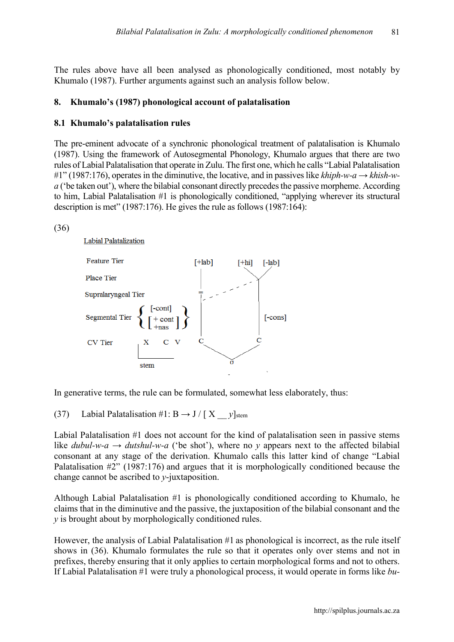The rules above have all been analysed as phonologically conditioned, most notably by Khumalo (1987). Further arguments against such an analysis follow below.

#### **8. Khumalo's (1987) phonological account of palatalisation**

#### **8.1 Khumalo's palatalisation rules**

The pre-eminent advocate of a synchronic phonological treatment of palatalisation is Khumalo (1987). Using the framework of Autosegmental Phonology, Khumalo argues that there are two rules of Labial Palatalisation that operate in Zulu. The first one, which he calls "Labial Palatalisation #1" (1987:176), operates in the diminutive, the locative, and in passives like *khiph-w-a* → *khish-wa* ('be taken out'), where the bilabial consonant directly precedes the passive morpheme. According to him, Labial Palatalisation #1 is phonologically conditioned, "applying wherever its structural description is met" (1987:176). He gives the rule as follows (1987:164):



Labial Palatalization



In generative terms, the rule can be formulated, somewhat less elaborately, thus:

(37) Labial Palatalisation #1: B  $\rightarrow$  J / [X  $v$ ]<sub>stem</sub>

Labial Palatalisation #1 does not account for the kind of palatalisation seen in passive stems like *dubul-w-a*  $\rightarrow$  *dutshul-w-a* ('be shot'), where no *y* appears next to the affected bilabial consonant at any stage of the derivation. Khumalo calls this latter kind of change "Labial Palatalisation #2" (1987:176) and argues that it is morphologically conditioned because the change cannot be ascribed to *y*-juxtaposition.

Although Labial Palatalisation #1 is phonologically conditioned according to Khumalo, he claims that in the diminutive and the passive, the juxtaposition of the bilabial consonant and the *y* is brought about by morphologically conditioned rules.

However, the analysis of Labial Palatalisation #1 as phonological is incorrect, as the rule itself shows in (36). Khumalo formulates the rule so that it operates only over stems and not in prefixes, thereby ensuring that it only applies to certain morphological forms and not to others. If Labial Palatalisation #1 were truly a phonological process, it would operate in forms like *bu-*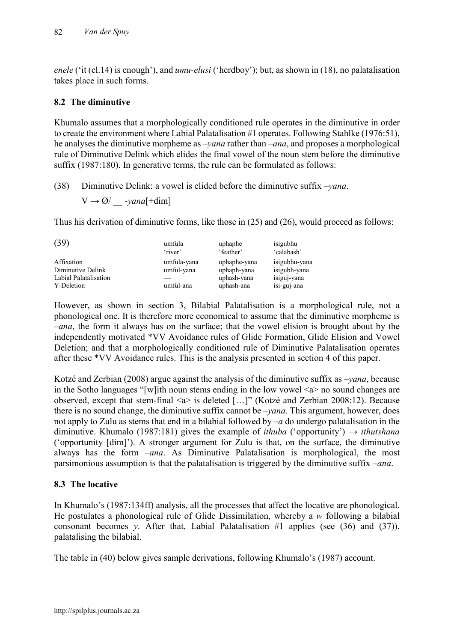*enele* ('it (cl.14) is enough'), and *umu-elusi* ('herdboy'); but, as shown in (18), no palatalisation takes place in such forms.

## **8.2 The diminutive**

Khumalo assumes that a morphologically conditioned rule operates in the diminutive in order to create the environment where Labial Palatalisation #1 operates. Following Stahlke (1976:51), he analyses the diminutive morpheme as –*yana* rather than –*ana*, and proposes a morphological rule of Diminutive Delink which elides the final vowel of the noun stem before the diminutive suffix (1987:180). In generative terms, the rule can be formulated as follows:

(38) Diminutive Delink: a vowel is elided before the diminutive suffix –*yana*.

 $V \rightarrow \emptyset / \underline{\hspace{2cm}}$ -yana[+dim]

Thus his derivation of diminutive forms, like those in (25) and (26), would proceed as follows:

| (39)                                                                   | umfula                                 | uphaphe                                                  | isigubhu                                                    |
|------------------------------------------------------------------------|----------------------------------------|----------------------------------------------------------|-------------------------------------------------------------|
|                                                                        | 'river'                                | 'feather'                                                | 'calabash'                                                  |
| Affixation<br>Diminutive Delink<br>Labial Palatalisation<br>Y-Deletion | umfula-yana<br>umful-yana<br>umful-ana | uphaphe-yana<br>uphaph-yana<br>uphash-yana<br>uphash-ana | isigubhu-yana<br>isigubh-yana<br>isiguj-yana<br>isi-guj-ana |

However, as shown in section 3, Bilabial Palatalisation is a morphological rule, not a phonological one. It is therefore more economical to assume that the diminutive morpheme is –*ana*, the form it always has on the surface; that the vowel elision is brought about by the independently motivated \*VV Avoidance rules of Glide Formation, Glide Elision and Vowel Deletion; and that a morphologically conditioned rule of Diminutive Palatalisation operates after these \*VV Avoidance rules. This is the analysis presented in section 4 of this paper.

Kotzé and Zerbian (2008) argue against the analysis of the diminutive suffix as –*yana*, because in the Sotho languages "[w]ith noun stems ending in the low vowel  $\leq a$  no sound changes are observed, except that stem-final <a> is deleted […]" (Kotzé and Zerbian 2008:12). Because there is no sound change, the diminutive suffix cannot be –*yana*. This argument, however, does not apply to Zulu as stems that end in a bilabial followed by –*a* do undergo palatalisation in the diminutive. Khumalo (1987:181) gives the example of *ithuba* ('opportunity') → *ithutshana* ('opportunity [dim]'). A stronger argument for Zulu is that, on the surface, the diminutive always has the form –*ana*. As Diminutive Palatalisation is morphological, the most parsimonious assumption is that the palatalisation is triggered by the diminutive suffix –*ana*.

## **8.3 The locative**

In Khumalo's (1987:134ff) analysis, all the processes that affect the locative are phonological. He postulates a phonological rule of Glide Dissimilation, whereby a *w* following a bilabial consonant becomes *y*. After that, Labial Palatalisation  $#1$  applies (see (36) and (37)), palatalising the bilabial.

The table in (40) below gives sample derivations, following Khumalo's (1987) account.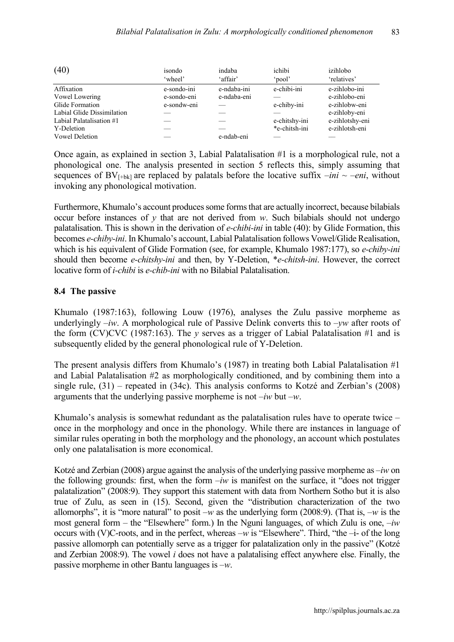| (40)                       | isondo      | indaba      | ichibi        | izihlobo        |
|----------------------------|-------------|-------------|---------------|-----------------|
|                            | 'wheel'     | 'affair'    | 'pool'        | 'relatives'     |
| Affixation                 | e-sondo-ini | e-ndaba-ini | e-chibi-ini   | e-zihlobo-ini   |
| Vowel Lowering             | e-sondo-eni | e-ndaba-eni |               | e-zihlobo-eni   |
| Glide Formation            | e-sondw-eni |             | e-chiby-ini   | e-zihlobw-eni   |
| Labial Glide Dissimilation |             |             |               | e-zihloby-eni   |
| Labial Palatalisation #1   |             |             | e-chitshy-ini | e-zihlotshy-eni |
| Y-Deletion                 |             |             | *e-chitsh-ini | e-zihlotsh-eni  |
| <b>Vowel Deletion</b>      |             | e-ndab-eni  |               |                 |

Once again, as explained in section 3, Labial Palatalisation #1 is a morphological rule, not a phonological one. The analysis presented in section 5 reflects this, simply assuming that sequences of  $BV_{[+bk]}$  are replaced by palatals before the locative suffix  $-ini \sim -eni$ , without invoking any phonological motivation.

Furthermore, Khumalo's account produces some forms that are actually incorrect, because bilabials occur before instances of  $\nu$  that are not derived from  $w$ . Such bilabials should not undergo palatalisation. This is shown in the derivation of *e-chibi-ini* in table (40): by Glide Formation, this becomes *e-chiby-ini*. In Khumalo's account, Labial Palatalisation follows Vowel/Glide Realisation, which is his equivalent of Glide Formation (see, for example, Khumalo 1987:177), so *e-chiby-ini* should then become *e-chitshy-ini* and then, by Y-Deletion, \**e-chitsh-ini*. However, the correct locative form of *i-chibi* is *e-chib-ini* with no Bilabial Palatalisation.

#### **8.4 The passive**

Khumalo (1987:163), following Louw (1976), analyses the Zulu passive morpheme as underlyingly –*iw*. A morphological rule of Passive Delink converts this to –*yw* after roots of the form (CV)CVC (1987:163). The *y* serves as a trigger of Labial Palatalisation #1 and is subsequently elided by the general phonological rule of Y-Deletion.

The present analysis differs from Khumalo's (1987) in treating both Labial Palatalisation #1 and Labial Palatalisation #2 as morphologically conditioned, and by combining them into a single rule, (31) – repeated in (34c). This analysis conforms to Kotzé and Zerbian's (2008) arguments that the underlying passive morpheme is not –*iw* but –*w*.

Khumalo's analysis is somewhat redundant as the palatalisation rules have to operate twice – once in the morphology and once in the phonology. While there are instances in language of similar rules operating in both the morphology and the phonology, an account which postulates only one palatalisation is more economical.

Kotzé and Zerbian (2008) argue against the analysis of the underlying passive morpheme as –*iw* on the following grounds: first, when the form  $-iw$  is manifest on the surface, it "does not trigger palatalization" (2008:9). They support this statement with data from Northern Sotho but it is also true of Zulu, as seen in (15). Second, given the "distribution characterization of the two allomorphs", it is "more natural" to posit –*w* as the underlying form (2008:9). (That is, –*w* is the most general form – the "Elsewhere" form.) In the Nguni languages, of which Zulu is one, –*iw* occurs with (V)C-roots, and in the perfect, whereas –*w* is "Elsewhere". Third, "the –i- of the long passive allomorph can potentially serve as a trigger for palatalization only in the passive" (Kotzé and Zerbian 2008:9). The vowel *i* does not have a palatalising effect anywhere else. Finally, the passive morpheme in other Bantu languages is –*w*.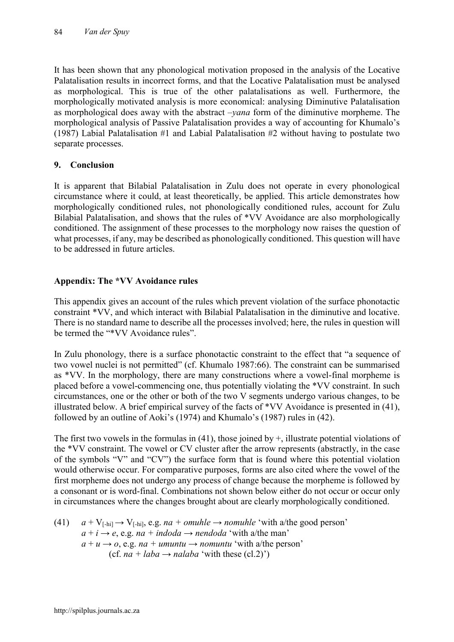It has been shown that any phonological motivation proposed in the analysis of the Locative Palatalisation results in incorrect forms, and that the Locative Palatalisation must be analysed as morphological. This is true of the other palatalisations as well. Furthermore, the morphologically motivated analysis is more economical: analysing Diminutive Palatalisation as morphological does away with the abstract –*yana* form of the diminutive morpheme. The morphological analysis of Passive Palatalisation provides a way of accounting for Khumalo's (1987) Labial Palatalisation #1 and Labial Palatalisation #2 without having to postulate two separate processes.

## **9. Conclusion**

It is apparent that Bilabial Palatalisation in Zulu does not operate in every phonological circumstance where it could, at least theoretically, be applied. This article demonstrates how morphologically conditioned rules, not phonologically conditioned rules, account for Zulu Bilabial Palatalisation, and shows that the rules of \*VV Avoidance are also morphologically conditioned. The assignment of these processes to the morphology now raises the question of what processes, if any, may be described as phonologically conditioned. This question will have to be addressed in future articles.

## **Appendix: The \*VV Avoidance rules**

This appendix gives an account of the rules which prevent violation of the surface phonotactic constraint \*VV, and which interact with Bilabial Palatalisation in the diminutive and locative. There is no standard name to describe all the processes involved; here, the rules in question will be termed the "\*VV Avoidance rules".

In Zulu phonology, there is a surface phonotactic constraint to the effect that "a sequence of two vowel nuclei is not permitted" (cf. Khumalo 1987:66). The constraint can be summarised as \*VV. In the morphology, there are many constructions where a vowel-final morpheme is placed before a vowel-commencing one, thus potentially violating the \*VV constraint. In such circumstances, one or the other or both of the two V segments undergo various changes, to be illustrated below. A brief empirical survey of the facts of \*VV Avoidance is presented in (41), followed by an outline of Aoki's (1974) and Khumalo's (1987) rules in (42).

The first two vowels in the formulas in (41), those joined by +, illustrate potential violations of the \*VV constraint. The vowel or CV cluster after the arrow represents (abstractly, in the case of the symbols "V" and "CV") the surface form that is found where this potential violation would otherwise occur. For comparative purposes, forms are also cited where the vowel of the first morpheme does not undergo any process of change because the morpheme is followed by a consonant or is word-final. Combinations not shown below either do not occur or occur only in circumstances where the changes brought about are clearly morphologically conditioned.

(41) 
$$
a + V_{[-hi]} \rightarrow V_{[-hi]}
$$
, e.g.  $na + \text{omuhle} \rightarrow \text{nomuhle}$  'with a/the good person'  
\n $a + i \rightarrow e$ , e.g.  $na + \text{indoda} \rightarrow \text{nendoda}$  'with a/the man'  
\n $a + u \rightarrow o$ , e.g.  $na + \text{umuntu} \rightarrow \text{nomuntu}$  'with a/the person'  
\n(cf.  $na + \text{laba} \rightarrow \text{nalaba}$  'with these (cl.2)')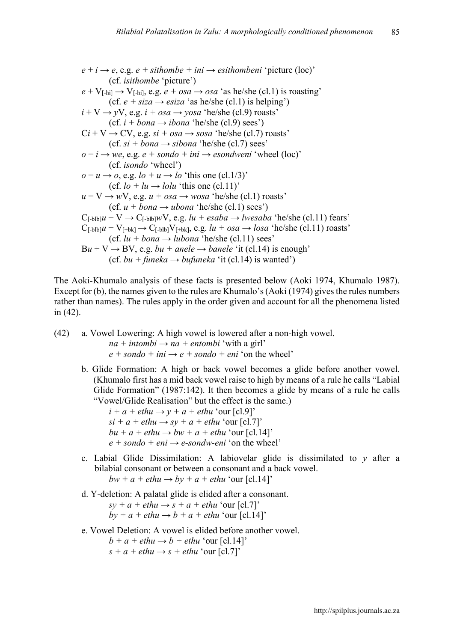$e + i \rightarrow e$ , e.g.  $e + sithombe + ini \rightarrow esithombeni$  'picture (loc)' (cf. *isithombe* 'picture')  $e + V_{[-hil]} \rightarrow V_{[-hil]}$ , e.g.  $e + osa \rightarrow osa$  'as he/she (cl.1) is roasting' (cf.  $e + \text{siza} \rightarrow \text{esiza}$  'as he/she (cl.1) is helping')  $i + V \rightarrow yV$ , e.g.  $i + osa \rightarrow yosa$  'he/she (cl.9) roasts'  $(cf. i + bona \rightarrow ibona 'he/she (c1.9) sees')$  $Ci + V \rightarrow CV$ , e.g.  $si + osa \rightarrow sosa$  'he/she (cl.7) roasts'  $(cf. si + bona \rightarrow sibona 'he/she (cl.7) sees'$  $o + i \rightarrow we$ , e.g.  $e + s$  *ondo* + *ini*  $\rightarrow$  *esondweni* 'wheel (loc)' (cf. *isondo* 'wheel')  $o + u \rightarrow o$ , e.g.  $lo + u \rightarrow lo$  'this one (cl.1/3)' (cf.  $lo + lu \rightarrow lolu$  'this one (cl.11)'  $u + V \rightarrow wV$ , e.g.  $u + osa \rightarrow wosa$  'he/she (cl.1) roasts' (cf.  $u + bona \rightarrow ubona$  'he/she (cl. 1) sees')  $C_{[-b}b]\mu + V \rightarrow C_{[-b}b]\mu V$ , e.g.  $lu + esaba \rightarrow lwesaba$  'he/she (cl.11) fears'  $C_{[-b}b]u + V_{[-b}k] \rightarrow C_{[-b]}bV_{[+b}k]$ , e.g.  $lu + osa \rightarrow losa$  'he/she (cl.11) roasts' (cf.  $lu + bona \rightarrow lubona$  'he/she (cl.11) sees'  $Bu + V \rightarrow BV$ , e.g.  $bu + anele \rightarrow banele$  <sup>c</sup>it (cl.14) is enough (cf.  $bu + \text{funeka} \rightarrow \text{bufuneka}$  'it (cl.14) is wanted')

The Aoki-Khumalo analysis of these facts is presented below (Aoki 1974, Khumalo 1987). Except for (b), the names given to the rules are Khumalo's (Aoki (1974) gives the rules numbers rather than names). The rules apply in the order given and account for all the phenomena listed in (42).

(42) a. Vowel Lowering: A high vowel is lowered after a non-high vowel.

 $na + intombi \rightarrow na + entombi$  'with a girl'  $e + sondo + ini \rightarrow e + sondo + eni$  'on the wheel'

b. Glide Formation: A high or back vowel becomes a glide before another vowel. (Khumalo first has a mid back vowel raise to high by means of a rule he calls "Labial Glide Formation" (1987:142). It then becomes a glide by means of a rule he calls "Vowel/Glide Realisation" but the effect is the same.)

 $i + a + ethu \rightarrow y + a + ethu$  'our [cl.9]'  $si + a + ethu \rightarrow sv + a + ethu$  'our [cl.7]'  $bu + a + ethu \rightarrow bw + a + ethu$  'our [cl.14]'  $e + s$ *ondo* + *eni*  $\rightarrow$  *e-sondw-eni* 'on the wheel'

- c. Labial Glide Dissimilation: A labiovelar glide is dissimilated to *y* after a bilabial consonant or between a consonant and a back vowel.  $bw + a + ethu \rightarrow by + a + ethu$  'our [cl.14]'
- d. Y-deletion: A palatal glide is elided after a consonant.  $sy + a + ethu \rightarrow s + a + ethu$  'our [cl.7]'

 $bv + a + ethu \rightarrow b + a + ethu$  'our [cl.14]'

e. Vowel Deletion: A vowel is elided before another vowel.

 $b + a + ethu \rightarrow b + ethu$  'our [cl.14]'  $s + a + ethu \rightarrow s + ethu$  'our [cl.7]'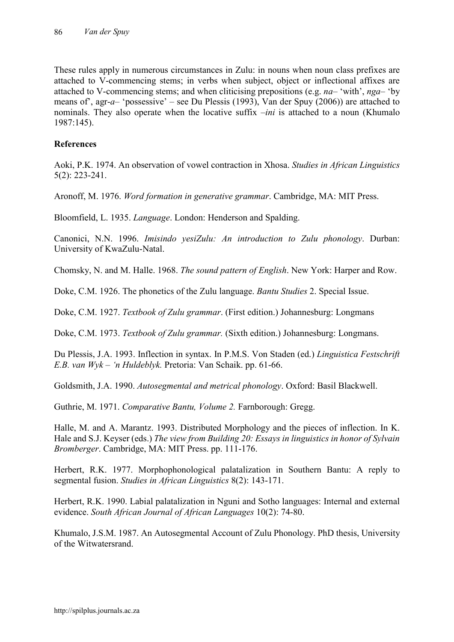These rules apply in numerous circumstances in Zulu: in nouns when noun class prefixes are attached to V-commencing stems; in verbs when subject, object or inflectional affixes are attached to V-commencing stems; and when cliticising prepositions (e.g. *na*– 'with', *nga*– 'by means of', agr-*a*– 'possessive' – see Du Plessis (1993), Van der Spuy (2006)) are attached to nominals. They also operate when the locative suffix –*ini* is attached to a noun (Khumalo 1987:145).

## **References**

Aoki, P.K. 1974. An observation of vowel contraction in Xhosa. *Studies in African Linguistics* 5(2): 223-241.

Aronoff, M. 1976. *Word formation in generative grammar*. Cambridge, MA: MIT Press.

Bloomfield, L. 1935. *Language*. London: Henderson and Spalding.

Canonici, N.N. 1996. *Imisindo yesiZulu: An introduction to Zulu phonology*. Durban: University of KwaZulu-Natal.

Chomsky, N. and M. Halle. 1968. *The sound pattern of English*. New York: Harper and Row.

Doke, C.M. 1926. The phonetics of the Zulu language. *Bantu Studies* 2. Special Issue.

Doke, C.M. 1927. *Textbook of Zulu grammar*. (First edition.) Johannesburg: Longmans

Doke, C.M. 1973. *Textbook of Zulu grammar.* (Sixth edition.) Johannesburg: Longmans.

Du Plessis, J.A. 1993. Inflection in syntax. In P.M.S. Von Staden (ed.) *Linguistica Festschrift E.B. van Wyk – 'n Huldeblyk.* Pretoria: Van Schaik. pp. 61-66.

Goldsmith, J.A. 1990. *Autosegmental and metrical phonology*. Oxford: Basil Blackwell.

Guthrie, M. 1971. *Comparative Bantu, Volume 2.* Farnborough: Gregg.

Halle, M. and A. Marantz. 1993. Distributed Morphology and the pieces of inflection. In K. Hale and S.J. Keyser (eds.) *The view from Building 20: Essays in linguistics in honor of Sylvain Bromberger*. Cambridge, MA: MIT Press. pp. 111-176.

Herbert, R.K. 1977. Morphophonological palatalization in Southern Bantu: A reply to segmental fusion. *Studies in African Linguistics* 8(2): 143-171.

Herbert, R.K. 1990. Labial palatalization in Nguni and Sotho languages: Internal and external evidence. *South African Journal of African Languages* 10(2): 74-80.

Khumalo, J.S.M. 1987. An Autosegmental Account of Zulu Phonology. PhD thesis, University of the Witwatersrand.